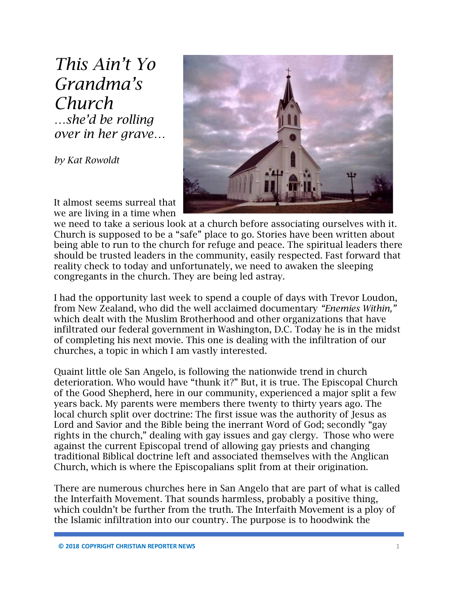*This Ain't Yo Grandma's Church …she'd be rolling over in her grave…*

*by Kat Rowoldt*



It almost seems surreal that we are living in a time when

we need to take a serious look at a church before associating ourselves with it. Church is supposed to be a "safe" place to go. Stories have been written about being able to run to the church for refuge and peace. The spiritual leaders there should be trusted leaders in the community, easily respected. Fast forward that reality check to today and unfortunately, we need to awaken the sleeping congregants in the church. They are being led astray.

I had the opportunity last week to spend a couple of days with Trevor Loudon, from New Zealand, who did the well acclaimed documentary *"Enemies Within,"*  which dealt with the Muslim Brotherhood and other organizations that have infiltrated our federal government in Washington, D.C. Today he is in the midst of completing his next movie. This one is dealing with the infiltration of our churches, a topic in which I am vastly interested.

Quaint little ole San Angelo, is following the nationwide trend in church deterioration. Who would have "thunk it?" But, it is true. The Episcopal Church of the Good Shepherd, here in our community, experienced a major split a few years back. My parents were members there twenty to thirty years ago. The local church split over doctrine: The first issue was the authority of Jesus as Lord and Savior and the Bible being the inerrant Word of God; secondly "gay rights in the church," dealing with gay issues and gay clergy. Those who were against the current Episcopal trend of allowing gay priests and changing traditional Biblical doctrine left and associated themselves with the Anglican Church, which is where the Episcopalians split from at their origination.

There are numerous churches here in San Angelo that are part of what is called the Interfaith Movement. That sounds harmless, probably a positive thing, which couldn't be further from the truth. The Interfaith Movement is a ploy of the Islamic infiltration into our country. The purpose is to hoodwink the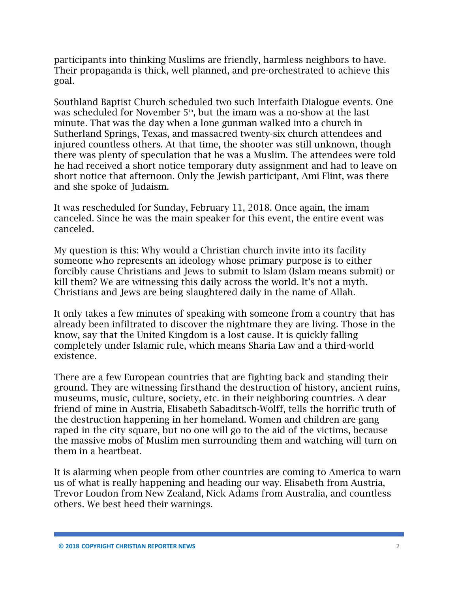participants into thinking Muslims are friendly, harmless neighbors to have. Their propaganda is thick, well planned, and pre-orchestrated to achieve this goal.

Southland Baptist Church scheduled two such Interfaith Dialogue events. One was scheduled for November 5<sup>th</sup>, but the imam was a no-show at the last minute. That was the day when a lone gunman walked into a church in Sutherland Springs, Texas, and massacred twenty-six church attendees and injured countless others. At that time, the shooter was still unknown, though there was plenty of speculation that he was a Muslim. The attendees were told he had received a short notice temporary duty assignment and had to leave on short notice that afternoon. Only the Jewish participant, Ami Flint, was there and she spoke of Judaism.

It was rescheduled for Sunday, February 11, 2018. Once again, the imam canceled. Since he was the main speaker for this event, the entire event was canceled.

My question is this: Why would a Christian church invite into its facility someone who represents an ideology whose primary purpose is to either forcibly cause Christians and Jews to submit to Islam (Islam means submit) or kill them? We are witnessing this daily across the world. It's not a myth. Christians and Jews are being slaughtered daily in the name of Allah.

It only takes a few minutes of speaking with someone from a country that has already been infiltrated to discover the nightmare they are living. Those in the know, say that the United Kingdom is a lost cause. It is quickly falling completely under Islamic rule, which means Sharia Law and a third-world existence.

There are a few European countries that are fighting back and standing their ground. They are witnessing firsthand the destruction of history, ancient ruins, museums, music, culture, society, etc. in their neighboring countries. A dear friend of mine in Austria, Elisabeth Sabaditsch-Wolff, tells the horrific truth of the destruction happening in her homeland. Women and children are gang raped in the city square, but no one will go to the aid of the victims, because the massive mobs of Muslim men surrounding them and watching will turn on them in a heartbeat.

It is alarming when people from other countries are coming to America to warn us of what is really happening and heading our way. Elisabeth from Austria, Trevor Loudon from New Zealand, Nick Adams from Australia, and countless others. We best heed their warnings.